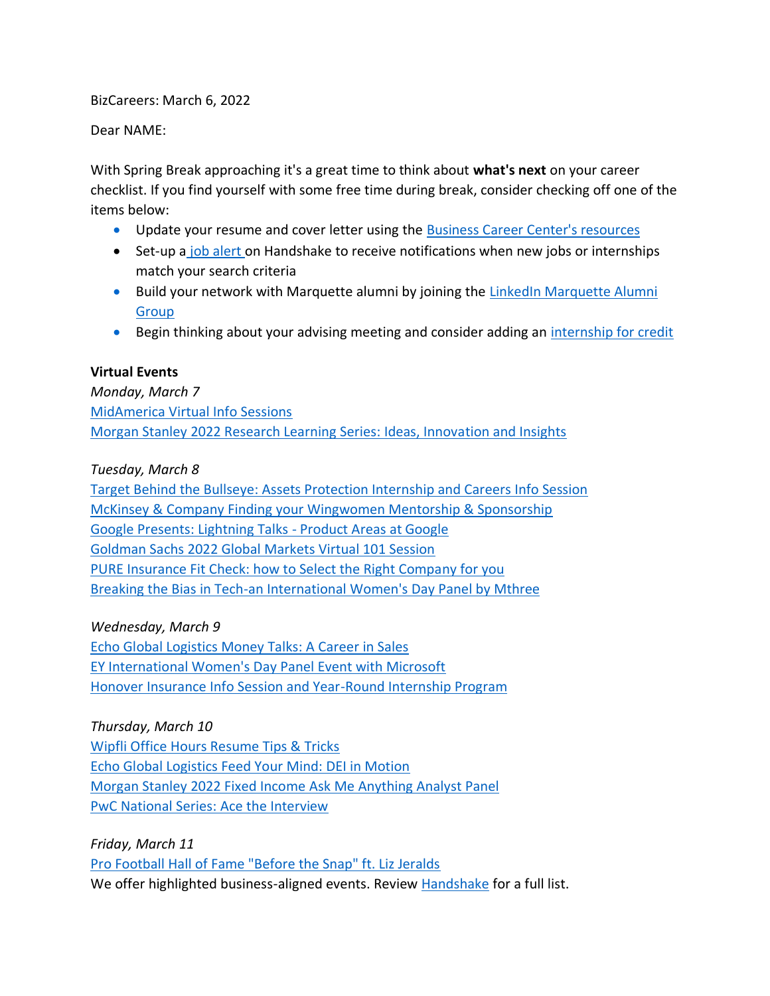BizCareers: March 6, 2022

Dear NAME:

With Spring Break approaching it's a great time to think about **what's next** on your career checklist. If you find yourself with some free time during break, consider checking off one of the items below:

- Update your resume and cover letter using the [Business Career Center's resources](https://www.marquette.edu/business/career-center/undergrad/resumes.php)
- Set-up a [job alert o](https://support.joinhandshake.com/hc/en-us/articles/218693388-Saved-Job-Searches-and-Alerts)n Handshake to receive notifications when new jobs or internships match your search criteria
- Build your network with Marquette alumni by joining the LinkedIn Marquette Alumni [Group](https://www.linkedin.com/groups/46939/)
- Begin thinking about your advising meeting and consider adding an [internship for credit](https://www.marquette.edu/business/career-center/undergrad/internships.php)

# **Virtual Events**

*Monday, March 7* [MidAmerica Virtual Info Sessions](https://marquette.joinhandshake.com/events/994096/share_preview) [Morgan Stanley 2022 Research Learning Series: Ideas, Innovation and Insights](https://marquette.joinhandshake.com/events/973598/share_preview)

# *Tuesday, March 8*

[Target Behind the Bullseye: Assets Protection Internship and Careers Info Session](https://marquette.joinhandshake.com/events/989199/share_preview) [McKinsey & Company Finding your Wingwomen Mentorship & Sponsorship](https://marquette.joinhandshake.com/events/975882/share_preview) [Google Presents: Lightning Talks -](https://marquette.joinhandshake.com/events/992854/share_preview) Product Areas at Google [Goldman Sachs 2022 Global Markets Virtual 101 Session](https://marquette.joinhandshake.com/events/990875/share_preview) [PURE Insurance Fit Check: how to Select the Right Company for you](https://marquette.joinhandshake.com/events/936595/share_preview) [Breaking the Bias in Tech-an International Women's Day Panel by Mthree](https://marquette.joinhandshake.com/edu/mass_emails/1062434/Breaking%20the%20Bias%20in%20Tech-an%20International%20Women)

## *Wednesday, March 9*

[Echo Global Logistics Money Talks: A Career in Sales](https://marquette.joinhandshake.com/events/988333/share_preview) [EY International Women's Day Panel Event with Microsoft](https://marquette.joinhandshake.com/events/986932/share_preview) [Honover Insurance Info Session and Year-Round Internship Program](https://marquette.joinhandshake.com/events/993821/share_preview)

## *Thursday, March 10*

[Wipfli Office Hours Resume Tips & Tricks](https://marquette.joinhandshake.com/events/954134/share_preview) [Echo Global Logistics Feed Your Mind: DEI in Motion](https://marquette.joinhandshake.com/events/984383/share_preview) [Morgan Stanley 2022 Fixed Income Ask Me Anything Analyst Panel](https://marquette.joinhandshake.com/events/973498/share_preview) [PwC National Series: Ace the Interview](https://marquette.joinhandshake.com/events/975115/share_preview)

*Friday, March 11* [Pro Football Hall of Fame "Before the Snap" ft. Liz Jeralds](https://marquette.joinhandshake.com/events/987148/share_preview) We offer highlighted business-aligned events. Review [Handshake](https://marquette.joinhandshake.com/edu/events) for a full list.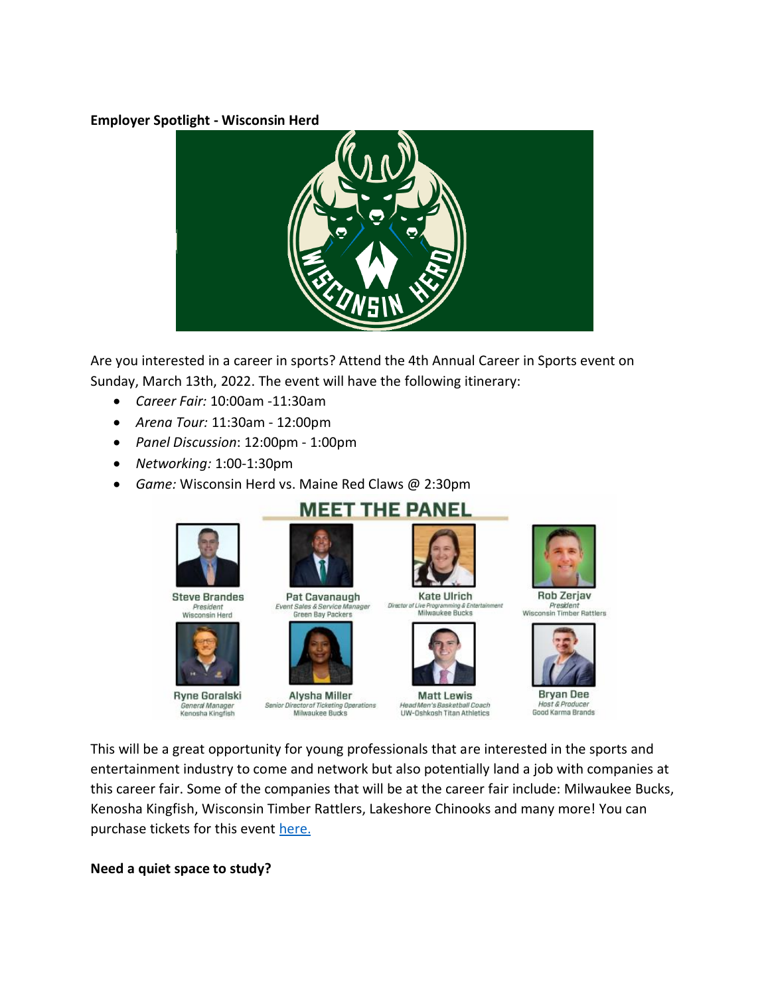## **Employer Spotlight - Wisconsin Herd**



Are you interested in a career in sports? Attend the 4th Annual Career in Sports event on Sunday, March 13th, 2022. The event will have the following itinerary:

- *Career Fair:* 10:00am -11:30am
- *Arena Tour:* 11:30am 12:00pm
- *Panel Discussion*: 12:00pm 1:00pm
- *Networking:* 1:00-1:30pm
- *Game:* Wisconsin Herd vs. Maine Red Claws @ 2:30pm

# **MEET THE PANEL**



**Steve Brandes** President<br>Wisconsin Herd



**Ryne Goralski** General Manager<br>Kenosha Kingfish





Alysha Miller Senior Director of Ticketing Operations Milwaukee Bucks



**Kate Ulrich** Director Milwaukee Bucks



**Matt Lewis** Head Men's Basketball Coach UW-Oshkosh Titan Athletics



President Wisconsin Timber Rattlers



**Bryan Dee** Host & Producer Good Karma Brands

This will be a great opportunity for young professionals that are interested in the sports and entertainment industry to come and network but also potentially land a job with companies at this career fair. Some of the companies that will be at the career fair include: Milwaukee Bucks, Kenosha Kingfish, Wisconsin Timber Rattlers, Lakeshore Chinooks and many more! You can purchase tickets for this event [here.](https://offer.fevo.com/herd-vs-celtics-ih5gm3n-d0a23fd)

## **Need a quiet space to study?**